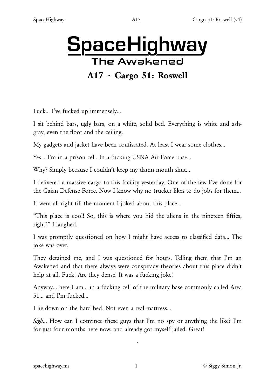# **SpaceHighway The Awakened** A17 ~ Cargo 51: Roswell

Fuck… I've fucked up immensely…

I sit behind bars, ugly bars, on a white, solid bed. Everything is white and ashgray, even the floor and the ceiling.

My gadgets and jacket have been confiscated. At least I wear some clothes…

Yes… I'm in a prison cell. In a fucking USNA Air Force base…

Why? Simply because I couldn't keep my damn mouth shut…

I delivered a massive cargo to this facility yesterday. One of the few I've done for the Gaian Defense Force. Now I know why no trucker likes to do jobs for them…

It went all right till the moment I joked about this place…

"This place is cool! So, this is where you hid the aliens in the nineteen fifties, right?" I laughed.

I was promptly questioned on how I might have access to classified data… The joke was over.

They detained me, and I was questioned for hours. Telling them that I'm an Awakened and that there always were conspiracy theories about this place didn't help at all. Fuck! Are they dense! It was a fucking joke!

Anyway… here I am… in a fucking cell of the military base commonly called Area 51… and I'm fucked…

I lie down on the hard bed. Not even a real mattress…

*Sigh*… How can I convince these guys that I'm no spy or anything the like? I'm for just four months here now, and already got myself jailed. Great!

·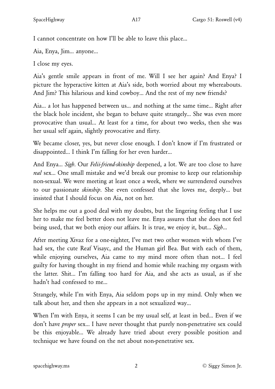I cannot concentrate on how I'll be able to leave this place…

Aia, Enya, Jim… anyone…

I close my eyes.

Aia's gentle smile appears in front of me. Will I see her again? And Enya? I picture the hyperactive kitten at Aia's side, both worried about my whereabouts. And Jim? This hilarious and kind cowboy… And the rest of my new friends?

Aia… a lot has happened between us… and nothing at the same time… Right after the black hole incident, she began to behave quite strangely... She was even more provocative than usual… At least for a time, for about two weeks, then she was her usual self again, slightly provocative and flirty.

We became closer, yes, but never close enough. I don't know if I'm frustrated or disappointed… I think I'm falling for her even harder…

And Enya… *Sigh*. Our *Felii-friend-skinship* deepened, a lot. We are too close to have *real* sex… One small mistake and we'd break our promise to keep our relationship non-sexual. We were meeting at least once a week, where we surrendered ourselves to our passionate *skinship*. She even confessed that she loves me, deeply… but insisted that I should focus on Aia, not on her.

She helps me out a good deal with my doubts, but the lingering feeling that I use her to make me feel better does not leave me. Enya assures that she does not feel being used, that we both enjoy our affairs. It is true, we enjoy it, but… *Sigh*…

After meeting Xivaz for a one-nighter, I've met two other women with whom I've had sex, the cute Reaf Visayc, and the Human girl Bea. But with each of them, while enjoying ourselves, Aia came to my mind more often than not… I feel guilty for having thought in my friend and homie while reaching my orgasm with the latter. Shit… I'm falling too hard for Aia, and she acts as usual, as if she hadn't had confessed to me…

Strangely, while I'm with Enya, Aia seldom pops up in my mind. Only when we talk about her, and then she appears in a not sexualized way…

When I'm with Enya, it seems I can be my usual self, at least in bed… Even if we don't have *proper* sex… I have never thought that purely non-penetrative sex could be this enjoyable… We already have tried about every possible position and technique we have found on the net about non-penetrative sex.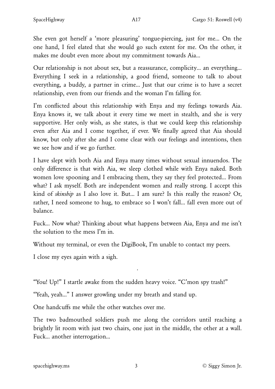She even got herself a 'more pleasuring' tongue-piercing, just for me… On the one hand, I feel elated that she would go such extent for me. On the other, it makes me doubt even more about my commitment towards Aia…

Our relationship is not about sex, but a reassurance, complicity… an everything… Everything I seek in a relationship, a good friend, someone to talk to about everything, a buddy, a partner in crime… Just that our crime is to have a secret relationship, even from our friends and the woman I'm falling for.

I'm conflicted about this relationship with Enya and my feelings towards Aia. Enya knows it, we talk about it every time we meet in stealth, and she is very supportive. Her only wish, as she states, is that we could keep this relationship even after Aia and I come together, if ever. We finally agreed that Aia should know, but only after she and I come clear with our feelings and intentions, then we see how and if we go further.

I have slept with both Aia and Enya many times without sexual innuendos. The only difference is that with Aia, we sleep clothed while with Enya naked. Both women love spooning and I embracing them, they say they feel protected… From what? I ask myself. Both are independent women and really strong. I accept this kind of *skinship* as I also love it. But… I am sure? Is this really the reason? Or, rather, I need someone to hug, to embrace so I won't fall… fall even more out of balance.

Fuck… Now what? Thinking about what happens between Aia, Enya and me isn't the solution to the mess I'm in.

Without my terminal, or even the DigiBook, I'm unable to contact my peers.

I close my eyes again with a sigh.

"You! Up!" I startle awake from the sudden heavy voice. "C'mon spy trash!"

·

"Yeah, yeah…" I answer growling under my breath and stand up.

One handcuffs me while the other watches over me.

The two badmouthed soldiers push me along the corridors until reaching a brightly lit room with just two chairs, one just in the middle, the other at a wall. Fuck… another interrogation…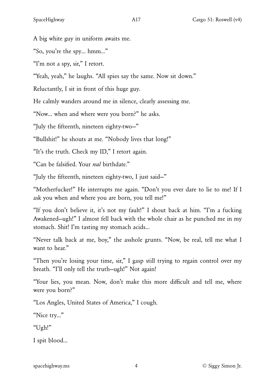A big white guy in uniform awaits me.

"So, you're the spy… hmm…"

"I'm not a spy, sir," I retort.

"Yeah, yeah," he laughs. "All spies say the same. Now sit down."

Reluctantly, I sit in front of this huge guy.

He calmly wanders around me in silence, clearly assessing me.

"Now… when and where were you born?" he asks.

"July the fifteenth, nineteen eighty-two—"

"Bullshit!" he shouts at me. "Nobody lives that long!"

"It's the truth. Check my ID," I retort again.

"Can be falsified. Your *real* birthdate."

"July the fifteenth, nineteen eighty-two, I just said—"

"Motherfucker!" He interrupts me again. "Don't you ever dare to lie to me! If I ask you when and where you are born, you tell me!"

"If you don't believe it, it's not my fault!" I shout back at him. "I'm a fucking Awakened—ugh!" I almost fell back with the whole chair as he punched me in my stomach. Shit! I'm tasting my stomach acids…

"Never talk back at me, boy," the asshole grunts. "Now, be real, tell me what I want to hear."

"Then you're losing your time, sir," I gasp still trying to regain control over my breath. "I'll only tell the truth—ugh!" Not again!

"Your lies, you mean. Now, don't make this more difficult and tell me, where were you born?"

"Los Angles, United States of America," I cough.

"Nice try…"

"Ugh!"

I spit blood…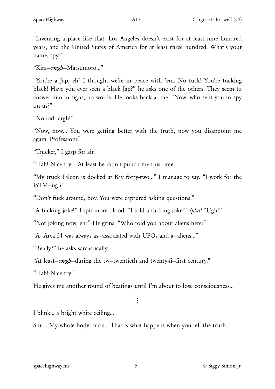"Inventing a place like that. Los Angeles doesn't exist for at least nine hundred years, and the United States of America for at least three hundred. What's your name, spy?"

"Kira—*cough*—Matsumoto…"

"You're a Jap, eh? I thought we're in peace with 'em. No fuck! You're fucking black! Have you ever seen a black Jap?" he asks one of the others. They seem to answer him in signs, no words. He looks back at me. "Now, who sent you to spy on us?"

"Nobod—argh!"

"Now, now… You were getting better with the truth, now you disappoint me again. Profession?"

"Trucker," I gasp for air.

"Hah! Nice try!" At least he didn't punch me this time.

"My truck Falcon is docked at Bay forty-two…" I manage to say. "I work for the ISTM—ugh!"

"Don't fuck around, boy. You were captured asking questions."

"A fucking joke!" I spit more blood. "I told a fucking joke!" *Splat!* "Ugh!"

"Not joking now, eh?" He grins. "Who told you about aliens here?"

"A—Area 51 was always as—associated with UFOs and a—aliens…"

"Really?" he asks sarcastically.

"At least—*cough*—during the tw—twentieth and twenty-fi—first century."

"Hah! Nice try!"

He gives me another round of beatings until I'm about to lose consciousness…

 $\ddot{\cdot}$ 

I blink… a bright white ceiling…

Shit… My whole body hurts... That is what happens when you tell the truth…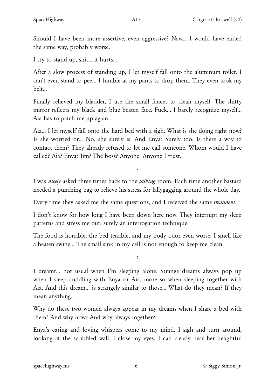Should I have been more assertive, even aggressive? Naw… I would have ended the same way, probably worse.

I try to stand up, shit… it hurts…

After a slow process of standing up, I let myself fall onto the aluminum toilet. I can't even stand to pee… I fumble at my pants to drop them. They even took my belt…

Finally relieved my bladder, I use the small faucet to clean myself. The shitty mirror reflects my black and blue beaten face. Fuck... I barely recognize myself... Aia has to patch me up again…

Aia… I let myself fall onto the hard bed with a sigh. What is she doing right now? Is she worried or… No, she surely is. And Enya? Surely too. Is there a way to contact them? They already refused to let me call someone. Whom would I have called? Aia? Enya? Jim? The boss? Anyone. Anyone I trust.

I was *nicely* asked three times back to the *talking* room. Each time another bastard needed a punching bag to relieve his stress for lallygagging around the whole day.

·

Every time they asked me the same questions, and I received the same *treatment*.

I don't know for how long I have been down here now. They interrupt my sleep patterns and stress me out, surely an interrogation technique.

The food is horrible, the bed terrible, and my body odor even worse. I smell like a beaten swine… The small sink in my cell is not enough to keep me clean.

 $\ddot{\ddot{\cdot}}$ 

I dreamt… not usual when I'm sleeping alone. Strange dreams always pop up when I sleep cuddling with Enya or Aia, more so when sleeping together with Aia. And this dream… is strangely similar to those… What do they mean? If they mean anything…

Why do these two women always appear in my dreams when I share a bed with them? And why now? And why always together?

Enya's caring and loving whispers come to my mind. I sigh and turn around, looking at the scribbled wall. I close my eyes, I can clearly hear her delightful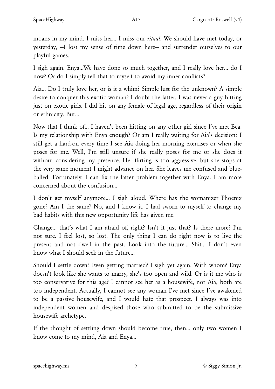moans in my mind. I miss her… I miss our *ritual*. We should have met today, or yesterday, —I lost my sense of time down here— and surrender ourselves to our playful games.

I sigh again. Enya…We have done so much together, and I really love her… do I now? Or do I simply tell that to myself to avoid my inner conflicts?

Aia… Do I truly love her, or is it a whim? Simple lust for the unknown? A simple desire to conquer this exotic woman? I doubt the latter, I was never a guy hitting just on exotic girls. I did hit on any female of legal age, regardless of their origin or ethnicity. But…

Now that I think of… I haven't been hitting on any other girl since I've met Bea. Is my relationship with Enya enough? Or am I really waiting for Aia's decision? I still get a hard-on every time I see Aia doing her morning exercises or when she poses for me. Well, I'm still unsure if she really poses for me or she does it without considering my presence. Her flirting is too aggressive, but she stops at the very same moment I might advance on her. She leaves me confused and blueballed. Fortunately, I can fix the latter problem together with Enya. I am more concerned about the confusion…

I don't get myself anymore… I sigh aloud. Where has the womanizer Phoenix gone? Am I the same? No, and I know it. I had sworn to myself to change my bad habits with this new opportunity life has given me.

Change… that's what I am afraid of, right? Isn't it just that? Is there more? I'm not sure. I feel lost, so lost. The only thing I can do right now is to live the present and not dwell in the past. Look into the future… Shit… I don't even know what I should seek in the future…

Should I settle down? Even getting married? I sigh yet again. With whom? Enya doesn't look like she wants to marry, she's too open and wild. Or is it me who is too conservative for this age? I cannot see her as a housewife, nor Aia, both are too independent. Actually, I cannot see any woman I've met since I've awakened to be a passive housewife, and I would hate that prospect. I always was into independent women and despised those who submitted to be the submissive housewife archetype.

If the thought of settling down should become true, then… only two women I know come to my mind, Aia and Enya…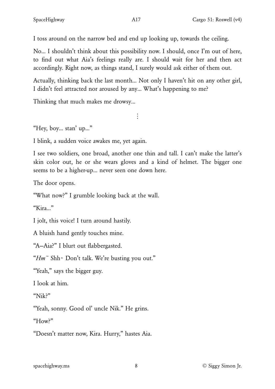I toss around on the narrow bed and end up looking up, towards the ceiling.

No… I shouldn't think about this possibility now. I should, once I'm out of here, to find out what Aia's feelings really are. I should wait for her and then act accordingly. Right now, as things stand, I surely would ask either of them out.

Actually, thinking back the last month… Not only I haven't hit on any other girl, I didn't feel attracted nor aroused by any… What's happening to me?

 $\vdots$ 

Thinking that much makes me drowsy…

"Hey, boy… stan' up…"

I blink, a sudden voice awakes me, yet again.

I see two soldiers, one broad, another one thin and tall. I can't make the latter's skin color out, he or she wears gloves and a kind of helmet. The bigger one seems to be a higher-up… never seen one down here.

The door opens.

"What now?" I grumble looking back at the wall.

"Kira…"

I jolt, this voice! I turn around hastily.

A bluish hand gently touches mine.

"A—Aia?" I blurt out flabbergasted.

"*Hm~* Shh~ Don't talk. We're busting you out."

"Yeah," says the bigger guy.

I look at him.

"Nik?"

"Yeah, sonny. Good ol' uncle Nik." He grins.

"How?"

"Doesn't matter now, Kira. Hurry," hastes Aia.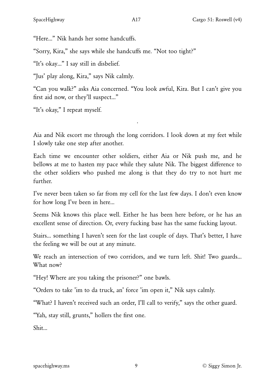"Here…" Nik hands her some handcuffs.

"Sorry, Kira," she says while she handcuffs me. "Not too tight?"

"It's okay…" I say still in disbelief.

"Jus' play along, Kira," says Nik calmly.

"Can you walk?" asks Aia concerned. "You look awful, Kira. But I can't give you first aid now, or they'll suspect…"

"It's okay," I repeat myself.

Aia and Nik escort me through the long corridors. I look down at my feet while I slowly take one step after another.

·

Each time we encounter other soldiers, either Aia or Nik push me, and he bellows at me to hasten my pace while they salute Nik. The biggest difference to the other soldiers who pushed me along is that they do try to not hurt me further.

I've never been taken so far from my cell for the last few days. I don't even know for how long I've been in here…

Seems Nik knows this place well. Either he has been here before, or he has an excellent sense of direction. Or, every fucking base has the same fucking layout.

Stairs… something I haven't seen for the last couple of days. That's better, I have the feeling we will be out at any minute.

We reach an intersection of two corridors, and we turn left. Shit! Two guards… What now?

"Hey! Where are you taking the prisoner?" one bawls.

"Orders to take 'im to da truck, an' force 'im open it," Nik says calmly.

"What? I haven't received such an order, I'll call to verify," says the other guard.

"Yah, stay still, grunts," hollers the first one.

Shit…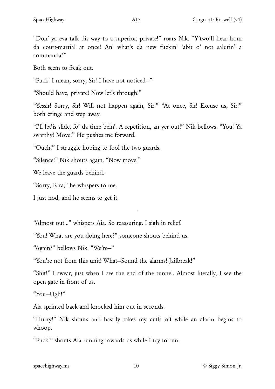"Don' ya eva talk dis way to a superior, private!" roars Nik. "Y'two'll hear from da court-martial at once! An' what's da new fuckin' 'abit o' not salutin' a commanda?"

Both seem to freak out.

"Fuck! I mean, sorry, Sir! I have not noticed—"

"Should have, private! Now let's through!"

"Yessir! Sorry, Sir! Will not happen again, Sir!" "At once, Sir! Excuse us, Sir!" both cringe and step away.

"I'll let'is slide, fo' da time bein'. A repetition, an yer out!" Nik bellows. "You! Ya swarthy! Move!" He pushes me forward.

"Ouch!" I struggle hoping to fool the two guards.

"Silence!" Nik shouts again. "Now move!"

We leave the guards behind.

"Sorry, Kira," he whispers to me.

I just nod, and he seems to get it.

"Almost out…" whispers Aia. So reassuring. I sigh in relief.

"You! What are you doing here?" someone shouts behind us.

"Again?" bellows Nik. "We're—"

"You're not from this unit! What—Sound the alarms! Jailbreak!"

"Shit!" I swear, just when I see the end of the tunnel. Almost literally, I see the open gate in front of us.

·

"You—Ugh!"

Aia sprinted back and knocked him out in seconds.

"Hurry!" Nik shouts and hastily takes my cuffs off while an alarm begins to whoop.

"Fuck!" shouts Aia running towards us while I try to run.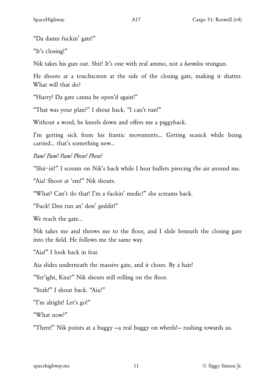"Da damn fuckin' gate!"

"It's closing!"

Nik takes his gun out. Shit! It's one with real ammo, not a *harmless* stungun.

He shoots at a touchscreen at the side of the closing gate, making it shatter. What will that do?

"Hurry! Da gate canna be open'd again!"

"That was your plan?" I shout back. "I can't run!"

Without a word, he kneels down and offers me a piggyback.

I'm getting sick from his frantic movements… Getting seasick while being carried… that's something new…

*Pam! Pam! Pam! Phew! Phew!*

"Shii~iit!" I scream on Nik's back while I hear bullets piercing the air around me.

"Aia! Shoot at 'em!" Nik shouts.

"What? Can't do that! I'm a fuckin' medic!" she screams back.

"Fuck! Den run an' don' geddit!"

We reach the gate…

Nik takes me and throws me to the floor, and I slide beneath the closing gate into the field. He follows me the same way.

"Aia!" I look back in fear.

Aia slides underneath the massive gate, and it closes. By a hair!

"Yer'ight, Kira?" Nik shouts still rolling on the floor.

"Yeah!" I shout back. "Aia?"

"I'm alright! Let's go!"

"What now?"

"There!" Nik points at a buggy —a real buggy on wheels!— rushing towards us.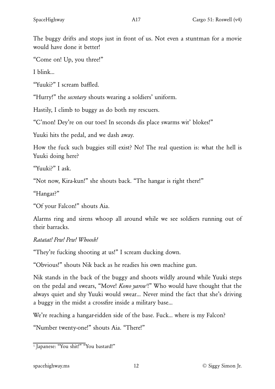The buggy drifts and stops just in front of us. Not even a stuntman for a movie would have done it better!

"Come on! Up, you three!"

I blink…

"Yuuki?" I scream baffled.

"Hurry!" the *secretary* shouts wearing a soldiers' uniform.

Hastily, I climb to buggy as do both my rescuers.

"C'mon! Dey're on our toes! In seconds dis place swarms wit' blokes!"

Yuuki hits the pedal, and we dash away.

How the fuck such buggies still exist? No! The real question is: what the hell is Yuuki doing here?

"Yuuki?" I ask.

"Not now, Kira-kun!" she shouts back. "The hangar is right there!"

"Hangar?"

"Of your Falcon!" shouts Aia.

Alarms ring and sirens whoop all around while we see soldiers running out of their barracks.

#### *Ratatat! Pew! Pew! Whoosh!*

"They're fucking shooting at us!" I scream ducking down.

"Obvious!" shouts Nik back as he readies his own machine gun.

<span id="page-11-1"></span>Nik stands in the back of the buggy and shoots wildly around while Yuuki steps on the pedal and swears, "Move! *Kono yarou<sup>1</sup>!"* Who would have thought that the always quiet and shy Yuuki would swear… Never mind the fact that she's driving a buggy in the midst a crossfire inside a military base…

We're reaching a hangar-ridden side of the base. Fuck... where is my Falcon?

"Number twenty-one!" shouts Aia. "There!"

<span id="page-11-0"></span><sup>&</sup>lt;sup>[1.](#page-11-1)</sup> Japanese: "You shit!" "You bastard!"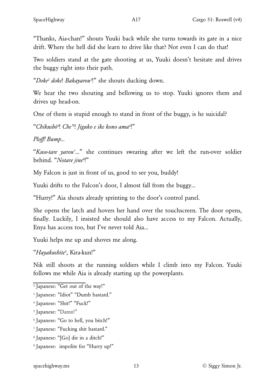"Thanks, Aia-chan!" shouts Yuuki back while she turns towards its gate in a nice drift. Where the hell did she learn to drive like that? Not even I can do that!

Two soldiers stand at the gate shooting at us, Yuuki doesn't hesitate and drives the buggy right into their path.

<span id="page-12-8"></span>"*Doke[2](#page-12-0) doke*! *Bakayarou[3](#page-12-1)* !" she shouts ducking down.

We hear the two shouting and bellowing us to stop. Yuuki ignores them and drives up head-on.

One of them is stupid enough to stand in front of the buggy, is he suicidal?

<span id="page-12-9"></span>"*Chikush*ō*[4](#page-12-2)* ! *Che['5](#page-12-3)* ! *Jiguko e ike kono am[a6](#page-12-4)* !"

*Plo*ff*! Bump…*

<span id="page-12-11"></span><span id="page-12-10"></span>"*Kuso-tare yaro[u7](#page-12-5)* …" she continues swearing after we left the run-over soldier behind. "*Notare jin[e8](#page-12-6)* !"

My Falcon is just in front of us, good to see you, buddy!

Yuuki drifts to the Falcon's door, I almost fall from the buggy…

"Hurry!" Aia shouts already sprinting to the door's control panel.

She opens the latch and hovers her hand over the touchscreen. The door opens, finally. Luckily, I insisted she should also have access to my Falcon. Actually, Enya has access too, but I've never told Aia…

Yuuki helps me up and shoves me along.

<span id="page-12-12"></span>"*Hayakushit[e9](#page-12-7)* , Kira-kun!"

Nik still shoots at the running soldiers while I climb into my Falcon. Yuuki follows me while Aia is already starting up the powerplants.

<span id="page-12-0"></span><sup>&</sup>lt;sup>2</sup> Japanese: "Get out of the way!"

<span id="page-12-1"></span><sup>&</sup>lt;sup>[3.](#page-12-8)</sup> Japanese: "Idiot" "Dumb bastard."

<span id="page-12-2"></span>[<sup>4.</sup>](#page-12-9) Japanese: "Shit!" "Fuck!"

<span id="page-12-3"></span>[<sup>5.</sup>](#page-12-9) Japanese: "Damn!"

<span id="page-12-4"></span>[<sup>6.</sup>](#page-12-9) Japanese: "Go to hell, you bitch!"

<span id="page-12-5"></span>[<sup>7.</sup>](#page-12-10) Japanese: "Fucking shit bastard."

<span id="page-12-6"></span>[<sup>8.</sup>](#page-12-11) Japanese: "[Go] die in a ditch!"

<span id="page-12-7"></span>[<sup>9.</sup>](#page-12-12) Japanese: impolite for "Hurry up!"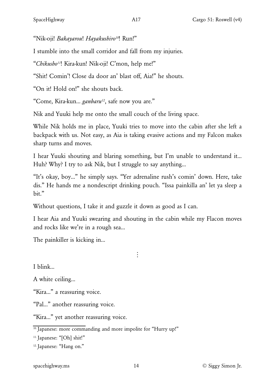<span id="page-13-3"></span>"Nik-oji! *Bakayarou*! *Hayakushiro[10](#page-13-0)*! Run!"

I stumble into the small corridor and fall from my injuries.

<span id="page-13-4"></span>"*Chikush[o11](#page-13-1)*! Kira-kun! Nik-oji! C'mon, help me!"

"Shit! Comin'! Close da door an' blast off, Aia!" he shouts.

"On it! Hold on!" she shouts back.

<span id="page-13-5"></span>"Come, Kira-kun… *ganbaru[12](#page-13-2)*, safe now you are."

Nik and Yuuki help me onto the small couch of the living space.

While Nik holds me in place, Yuuki tries to move into the cabin after she left a backpack with us. Not easy, as Aia is taking evasive actions and my Falcon makes sharp turns and moves.

I hear Yuuki shouting and blaring something, but I'm unable to understand it… Huh? Why? I try to ask Nik, but I struggle to say anything…

"It's okay, boy…" he simply says. "Yer adrenaline rush's comin' down. Here, take dis." He hands me a nondescript drinking pouch. "Issa painkilla an' let ya sleep a bit."

Without questions, I take it and guzzle it down as good as I can.

I hear Aia and Yuuki swearing and shouting in the cabin while my Flacon moves and rocks like we're in a rough sea…

 $\vdots$ 

The painkiller is kicking in…

I blink…

A white ceiling…

"Kira…" a reassuring voice.

"Pal…" another reassuring voice.

"Kira…" yet another reassuring voice.

<span id="page-13-0"></span> $10.$  Japanese: more commanding and more impolite for "Hurry up!"

<span id="page-13-1"></span><sup>[11.](#page-13-4)</sup> Japanese: "[Oh] shit!"

<span id="page-13-2"></span>[12.](#page-13-5) Japanese: "Hang on."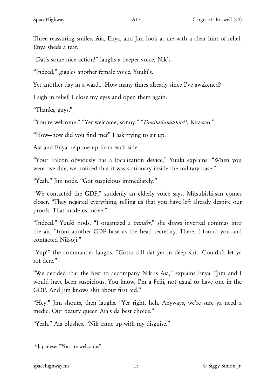Three reassuring smiles. Aia, Enya, and Jim look at me with a clear hint of relief. Enya sheds a tear.

"Dat's some nice action!" laughs a deeper voice, Nik's.

"Indeed," giggles another female voice, Yuuki's.

Yet another day in a ward… How many times already since I've awakened?

I sigh in relief, I close my eyes and open them again.

"Thanks, guys."

<span id="page-14-1"></span>"You're welcome." "Yer welcome, sonny." "*Douitashimashit[e13](#page-14-0)*, Kira-san."

"How—how did you find me?" I ask trying to sit up.

Aia and Enya help me up from each side.

"Your Falcon obviously has a localization device," Yuuki explains. "When you were overdue, we noticed that it was stationary inside the military base."

"Yeah." Jim nods. "Got suspicious immediately."

"We contacted the GDF," suddenly an elderly voice says. Mitsubishi-san comes closer. "They negated everything, telling us that you have left already despite our proofs. That made us move."

"Indeed." Yuuki nods. "I organized a *transfer*," she draws inverted commas into the air, "from another GDF base as the head secretary. There, I found you and contacted Nik-oji."

"Yup!" the commander laughs. "Gotta call dat yer in deep shit. Couldn't let ya rot dere."

"We decided that the best to accompany Nik is Aia," explains Enya. "Jim and I would have been suspicious. You know, I'm a Felii, not usual to have one in the GDF. And Jim knows shit about first aid."

"Hey!" Jim shouts, then laughs. "Yer right, heh. Anyways, we're sure ya need a medic. Our beauty queen Aia's da best choice."

"Yeah." Aia blushes. "Nik came up with my disguise."

<span id="page-14-0"></span><sup>&</sup>lt;sup>[13.](#page-14-1)</sup> Japanese: "You are welcome."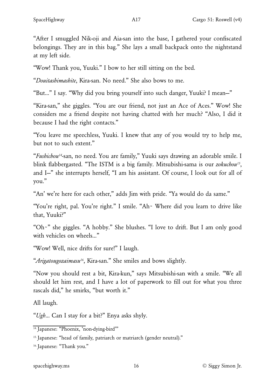"After I smuggled Nik-oji and Aia-san into the base, I gathered your confiscated belongings. They are in this bag." She lays a small backpack onto the nightstand at my left side.

"Wow! Thank you, Yuuki." I bow to her still sitting on the bed.

"*Douitashimashite*, Kira-san. No need." She also bows to me.

"But…" I say. "Why did you bring yourself into such danger, Yuuki? I mean—"

"Kira-san," she giggles. "You are our friend, not just an Ace of Aces." Wow! She considers me a friend despite not having chatted with her much? "Also, I did it because I had the right contacts."

"You leave me speechless, Yuuki. I knew that any of you would try to help me, but not to such extent."

<span id="page-15-4"></span><span id="page-15-3"></span>"*Fushicho[u14](#page-15-0)*-san, no need. You are family," Yuuki says drawing an adorable smile. I blink flabbergasted. "The ISTM is a big family. Mitsubishi-sama is our *zokuchou[15](#page-15-1)*, and I—" she interrupts herself, "I am his assistant. Of course, I look out for all of you."

"An' we're here for each other," adds Jim with pride. "Ya would do da same."

"You're right, pal. You're right." I smile. "Ah~ Where did you learn to drive like that, Yuuki?"

"Oh~" she giggles. "A hobby." She blushes. "I love to drift. But I am only good with vehicles on wheels…"

"Wow! Well, nice drifts for sure!" I laugh.

<span id="page-15-5"></span>"*Arigatougozaimasu[16](#page-15-2)*, Kira-san." She smiles and bows slightly.

"Now you should rest a bit, Kira-kun," says Mitsubishi-san with a smile. "We all should let him rest, and I have a lot of paperwork to fill out for what you three rascals did," he smirks, "but worth it."

All laugh.

"*Ugh*… Can I stay for a bit?" Enya asks shyly.

<span id="page-15-0"></span><sup>&</sup>lt;sup>[14.](#page-15-3)</sup> Japanese: "Phoenix, 'non-dying-bird'"

<span id="page-15-1"></span><sup>&</sup>lt;sup>[15.](#page-15-4)</sup> Japanese: "head of family, patriarch or matriarch (gender neutral)."

<span id="page-15-2"></span>[<sup>16.</sup>](#page-15-5) Japanese: "Thank you."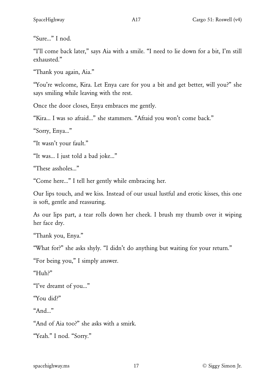"Sure…" I nod.

"I'll come back later," says Aia with a smile. "I need to lie down for a bit, I'm still exhausted."

"Thank you again, Aia."

"You're welcome, Kira. Let Enya care for you a bit and get better, will you?" she says smiling while leaving with the rest.

Once the door closes, Enya embraces me gently.

"Kira… I was so afraid…" she stammers. "Afraid you won't come back."

"Sorry, Enya…"

"It wasn't your fault."

"It was… I just told a bad joke…"

"These assholes…"

"Come here…" I tell her gently while embracing her.

Our lips touch, and we kiss. Instead of our usual lustful and erotic kisses, this one is soft, gentle and reassuring.

As our lips part, a tear rolls down her cheek. I brush my thumb over it wiping her face dry.

"Thank you, Enya."

"What for?" she asks shyly. "I didn't do anything but waiting for your return."

"For being you," I simply answer.

"Huh?"

"I've dreamt of you…"

"You did?"

"And…"

"And of Aia too?" she asks with a smirk.

"Yeah." I nod. "Sorry."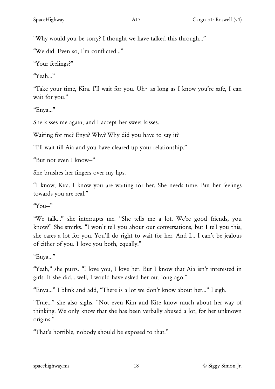"Why would you be sorry? I thought we have talked this through…"

"We did. Even so, I'm conflicted…"

"Your feelings?"

"Yeah…"

"Take your time, Kira. I'll wait for you. Uh~ as long as I know you're safe, I can wait for you."

"Enya…"

She kisses me again, and I accept her sweet kisses.

Waiting for me? Enya? Why? Why did you have to say it?

"I'll wait till Aia and you have cleared up your relationship."

"But not even I know—"

She brushes her fingers over my lips.

"I know, Kira. I know you are waiting for her. She needs time. But her feelings towards you are real."

 $"Y_{OII}$ "

"We talk…" she interrupts me. "She tells me a lot. We're good friends, you know?" She smirks. "I won't tell you about our conversations, but I tell you this, she cares a lot for you. You'll do right to wait for her. And I… I can't be jealous of either of you. I love you both, equally."

"Enya…"

"Yeah," she purrs. "I love you, I love her. But I know that Aia isn't interested in girls. If she did… well, I would have asked her out long ago."

"Enya…" I blink and add, "There is a lot we don't know about her…" I sigh.

"True…" she also sighs. "Not even Kim and Kite know much about her way of thinking. We only know that she has been verbally abused a lot, for her unknown origins."

"That's horrible, nobody should be exposed to that."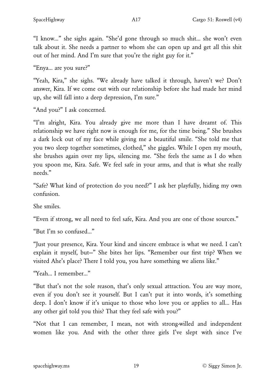"I know…" she sighs again. "She'd gone through so much shit… she won't even talk about it. She needs a partner to whom she can open up and get all this shit out of her mind. And I'm sure that you're the right guy for it."

"Enya… are you sure?"

"Yeah, Kira," she sighs. "We already have talked it through, haven't we? Don't answer, Kira. If we come out with our relationship before she had made her mind up, she will fall into a deep depression, I'm sure."

"And you?" I ask concerned.

"I'm alright, Kira. You already give me more than I have dreamt of. This relationship we have right now is enough for me, for the time being." She brushes a dark lock out of my face while giving me a beautiful smile. "She told me that you two sleep together sometimes, clothed," she giggles. While I open my mouth, she brushes again over my lips, silencing me. "She feels the same as I do when you spoon me, Kira. Safe. We feel safe in your arms, and that is what she really needs."

"Safe? What kind of protection do you need?" I ask her playfully, hiding my own confusion.

She smiles.

"Even if strong, we all need to feel safe, Kira. And you are one of those sources."

"But I'm so confused…"

"Just your presence, Kira. Your kind and sincere embrace is what we need. I can't explain it myself, but—" She bites her lips. "Remember our first trip? When we visited Ahe's place? There I told you, you have something we aliens like."

"Yeah… I remember…"

"But that's not the sole reason, that's only sexual attraction. You are way more, even if you don't see it yourself. But I can't put it into words, it's something deep. I don't know if it's unique to those who love you or applies to all… Has any other girl told you this? That they feel safe with you?"

"Not that I can remember, I mean, not with strong-willed and independent women like you. And with the other three girls I've slept with since I've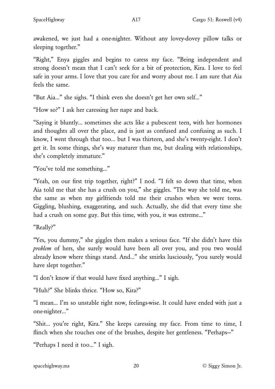awakened, we just had a one-nighter. Without any lovey-dovey pillow talks or sleeping together."

"Right," Enya giggles and begins to caress my face. "Being independent and strong doesn't mean that I can't seek for a bit of protection, Kira. I love to feel safe in your arms. I love that you care for and worry about me. I am sure that Aia feels the same.

"But Aia…" she sighs. "I think even she doesn't get her own self…"

"How so?" I ask her caressing her nape and back.

"Saying it bluntly… sometimes she acts like a pubescent teen, with her hormones and thoughts all over the place, and is just as confused and confusing as such. I know, I went through that too… but I was thirteen, and she's twenty-eight. I don't get it. In some things, she's way maturer than me, but dealing with relationships, she's completely immature."

"You've told me something…"

"Yeah, on our first trip together, right?" I nod. "I felt so down that time, when Aia told me that she has a crush on you," she giggles. "The way she told me, was the same as when my girlfriends told me their crushes when we were teens. Giggling, blushing, exaggerating, and such. Actually, she did that every time she had a crush on some guy. But this time, with you, it was extreme…"

"Really?"

"Yes, you dummy," she giggles then makes a serious face. "If she didn't have this *problem* of hers, she surely would have been all over you, and you two would already know where things stand. And…" she smirks lusciously, "you surely would have slept together."

"I don't know if that would have fixed anything…" I sigh.

"Huh?" She blinks thrice. "How so, Kira?"

"I mean… I'm so unstable right now, feelings-wise. It could have ended with just a one-nighter…"

"Shit… you're right, Kira." She keeps caressing my face. From time to time, I flinch when she touches one of the brushes, despite her gentleness. "Perhaps—"

"Perhaps I need it too…" I sigh.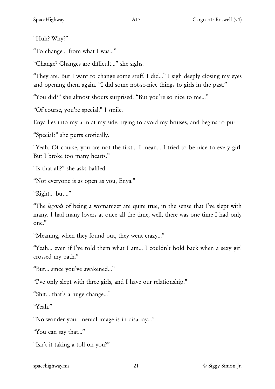"Huh? Why?"

"To change… from what I was…"

"Change? Changes are difficult…" she sighs.

"They are. But I want to change some stuff. I did…" I sigh deeply closing my eyes and opening them again. "I did some not-so-nice things to girls in the past."

"You did?" she almost shouts surprised. "But you're so nice to me…"

"Of course, you're special." I smile.

Enya lies into my arm at my side, trying to avoid my bruises, and begins to purr.

"Special?" she purrs erotically.

"Yeah. Of course, you are not the first… I mean… I tried to be nice to every girl. But I broke too many hearts."

"Is that all?" she asks baffled.

"Not everyone is as open as you, Enya."

"Right… but…"

"The *legends* of being a womanizer are quite true, in the sense that I've slept with many. I had many lovers at once all the time, well, there was one time I had only one."

"Meaning, when they found out, they went crazy…"

"Yeah… even if I've told them what I am… I couldn't hold back when a sexy girl crossed my path."

"But… since you've awakened…"

"I've only slept with three girls, and I have our relationship."

"Shit… that's a huge change…"

"Yeah"

"No wonder your mental image is in disarray…"

"You can say that…"

"Isn't it taking a toll on you?"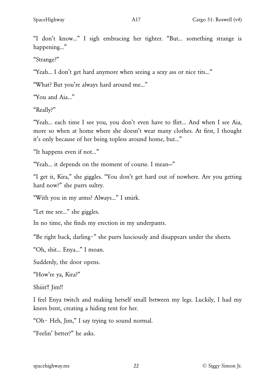"I don't know…" I sigh embracing her tighter. "But… something strange is happening…"

"Strange?"

"Yeah… I don't get hard anymore when seeing a sexy ass or nice tits…"

"What? But you're always hard around me…"

"You and Aia…"

"Really?"

"Yeah… each time I see you, you don't even have to flirt… And when I see Aia, more so when at home where she doesn't wear many clothes. At first, I thought it's only because of her being topless around home, but…"

"It happens even if not…"

"Yeah… it depends on the moment of course. I mean—"

"I get it, Kira," she giggles. "You don't get hard out of nowhere. Are you getting hard now?" she purrs sultry.

"With you in my arms? Always…" I smirk.

"Let me see…" she giggles.

In no time, she finds my erection in my underpants.

"Be right back, darling~" she purrs lusciously and disappears under the sheets.

"Oh, shit… Enya…" I moan.

Suddenly, the door opens.

"How're ya, Kira?"

Shiiit!! Jim!!

I feel Enya twitch and making herself small between my legs. Luckily, I had my knees bent, creating a hiding tent for her.

"Oh~ Heh, Jim," I say trying to sound normal.

"Feelin' better?" he asks.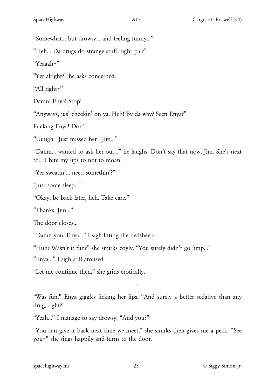"Somewhat… but drowsy… and feeling funny…"

"Heh… Da drugs do strange stuff, right pal?"

"Yeaaah~"

"Yer alright?" he asks concerned.

"All right~"

Damn! Enya! Stop!

"Anyways, jus' checkin' on ya. Heh! By da way? Seen Enya?"

Fucking Enya! Don't!

"Uuugh~ Just missed her~ Jim…"

"Damn… wanted to ask her out…" he laughs. Don't say that now, Jim. She's next to… I bite my lips to not to moan.

"Yer sweatin'… need somethin'?"

"Just some sleep…"

"Okay, be back later, heh. Take care."

"Thanks, Jim…"

The door closes…

"Damn you, Enya…" I sigh lifting the bedsheets.

"Huh? Wasn't it fun?" she smirks coyly. "You surely didn't go limp…"

"Enya…" I sigh still aroused.

"Let me continue then," she grins erotically.

"Was fun," Enya giggles licking her lips. "And surely a better sedative than any drug, right?"

·

"Yeah…" I manage to say drowsy. "And you?"

"You can give it back next time we meet," she smirks then gives me a peck. "See you~" she sings happily and turns to the door.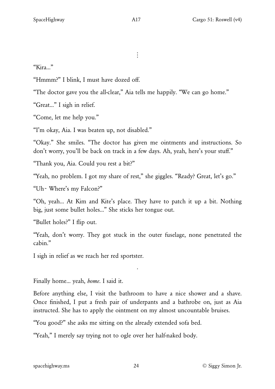$\vdots$ 

"Kira…"

"Hmmm?" I blink, I must have dozed off.

"The doctor gave you the all-clear," Aia tells me happily. "We can go home."

"Great…" I sigh in relief.

"Come, let me help you."

"I'm okay, Aia. I was beaten up, not disabled."

"Okay." She smiles. "The doctor has given me ointments and instructions. So don't worry, you'll be back on track in a few days. Ah, yeah, here's your stuff."

"Thank you, Aia. Could you rest a bit?"

"Yeah, no problem. I got my share of rest," she giggles. "Ready? Great, let's go."

"Uh~ Where's my Falcon?"

"Oh, yeah… At Kim and Kite's place. They have to patch it up a bit. Nothing big, just some bullet holes…" She sticks her tongue out.

"Bullet holes?" I flip out.

"Yeah, don't worry. They got stuck in the outer fuselage, none penetrated the cabin."

·

I sigh in relief as we reach her red sportster.

Finally home… yeah, *home*. I said it.

Before anything else, I visit the bathroom to have a nice shower and a shave. Once finished, I put a fresh pair of underpants and a bathrobe on, just as Aia instructed. She has to apply the ointment on my almost uncountable bruises.

"You good?" she asks me sitting on the already extended sofa bed.

"Yeah," I merely say trying not to ogle over her half-naked body.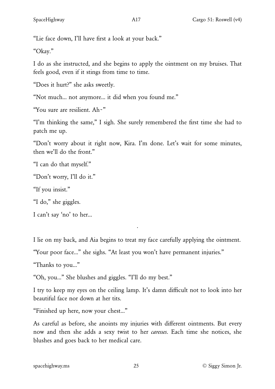"Lie face down, I'll have first a look at your back."

"Okay."

I do as she instructed, and she begins to apply the ointment on my bruises. That feels good, even if it stings from time to time.

"Does it hurt?" she asks sweetly.

"Not much… not anymore… it did when you found me."

"You sure are resilient. Ah~"

"I'm thinking the same," I sigh. She surely remembered the first time she had to patch me up.

"Don't worry about it right now, Kira. I'm done. Let's wait for some minutes, then we'll do the front."

"I can do that myself."

"Don't worry, I'll do it."

"If you insist."

"I do," she giggles.

I can't say 'no' to her…

I lie on my back, and Aia begins to treat my face carefully applying the ointment.

·

"Your poor face…" she sighs. "At least you won't have permanent injuries."

"Thanks to you…"

"Oh, you…" She blushes and giggles. "I'll do my best."

I try to keep my eyes on the ceiling lamp. It's damn difficult not to look into her beautiful face nor down at her tits.

"Finished up here, now your chest…"

As careful as before, she anoints my injuries with different ointments. But every now and then she adds a sexy twist to her *caresses*. Each time she notices, she blushes and goes back to her medical care.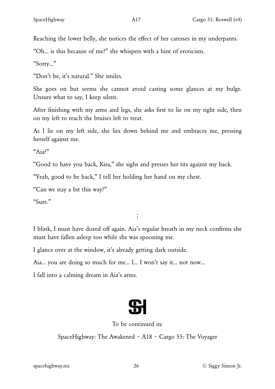Reaching the lower belly, she notices the effect of her caresses in my underpants.

"Oh… is this because of me?" she whispers with a hint of eroticism.

"Sorry…"

"Don't be, it's natural." She smiles.

She goes on but seems she cannot avoid casting some glances at my bulge. Unsure what to say, I keep silent.

After finishing with my arms and legs, she asks first to lie on my right side, then on my left to reach the bruises left to treat.

As I lie on my left side, she lies down behind me and embraces me, pressing herself against me.

"Aia?"

"Good to have you back, Kira," she sighs and presses her tits against my back.

"Yeah, good to be back," I tell her holding her hand on my chest.

"Can we stay a bit this way?"

"Sure."

I blink, I must have dozed off again. Aia's regular breath in my neck confirms she must have fallen asleep too while she was spooning me.

 $\vdots$ 

I glance over at the window, it's already getting dark outside.

Aia… you are doing so much for me… I… I won't say it… not now…

I fall into a calming dream in Aia's arms.



## To be continued in:

SpaceHighway: The Awakened ~ A18 ~ Cargo 55: The Voyager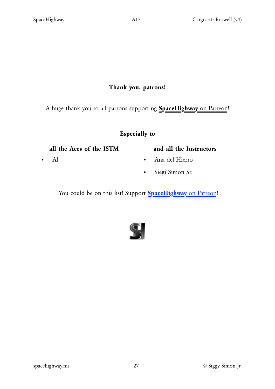## Thank you, patrons!

A huge thank you to all patrons supporting **[SpaceHighway](https://www.patreon.com/spacehighway)** [on Patreon!](https://www.patreon.com/spacehighway)

## Especially to

#### all the Aces of the ISTM

• Al

#### and all the Instructors

- Ana del Hierro
- Siegi Simon Sr.

You could be on this list! Support **[SpaceHighway](https://www.patreon.com/spacehighway)** [on Patreon!](https://www.patreon.com/spacehighway)